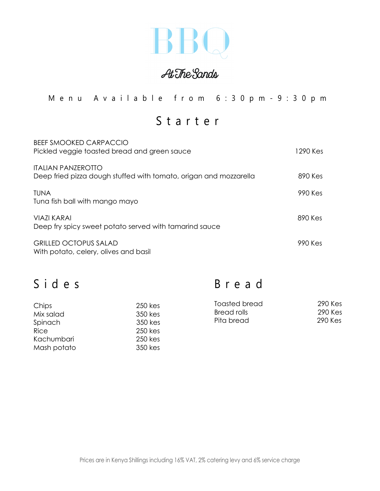

At The Sands

Menu Available from 6 : 3 0pm - 9:30pm

Starter

| <b>BEEF SMOOKED CARPACCIO</b><br>Pickled veggie toasted bread and green sauce                  | 1290 Kes |
|------------------------------------------------------------------------------------------------|----------|
| <b>ITALIAN PANZEROTTO</b><br>Deep fried pizza dough stuffed with tomato, origan and mozzarella | 890 Kes  |
| TUNA<br>Tuna fish ball with mango mayo                                                         | 990 Kes  |
| <b>VIAZI KARAI</b><br>Deep fry spicy sweet potato served with tamarind sauce                   | 890 Kes  |
| <b>GRILLED OCTOPUS SALAD</b><br>With potato, celery, olives and basil                          | 990 Kes  |

|  | Sides |  |
|--|-------|--|
|  |       |  |

Bread

| Chips       | 250 kes | <b>Toasted bread</b> | 290 Kes |
|-------------|---------|----------------------|---------|
| Mix salad   | 350 kes | <b>Bread rolls</b>   | 290 Kes |
| Spinach     | 350 kes | Pita bread           | 290 Kes |
| Rice        | 250 kes |                      |         |
| Kachumbari  | 250 kes |                      |         |
| Mash potato | 350 kes |                      |         |